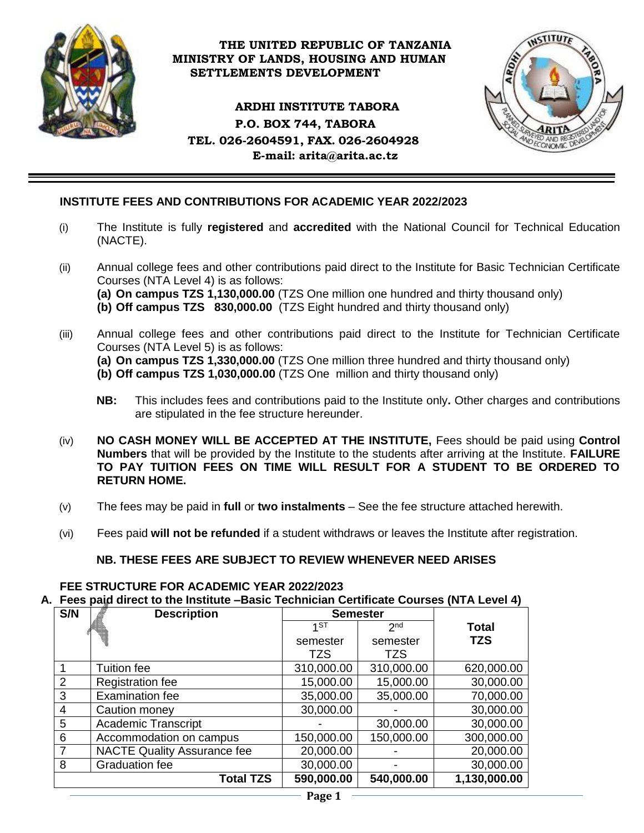

### **THE UNITED REPUBLIC OF TANZANIA MINISTRY OF LANDS, HOUSING AND HUMAN SETTLEMENTS DEVELOPMENT**

### **ARDHI INSTITUTE TABORA P.O. BOX 744, TABORA TEL. 026-2604591, FAX. 026-2604928 E-mail: [arita@arita.ac.tz](mailto:arita@arita.ac.tz)**



# **INSTITUTE FEES AND CONTRIBUTIONS FOR ACADEMIC YEAR 2022/2023**

- (i) The Institute is fully **registered** and **accredited** with the National Council for Technical Education (NACTE).
- (ii) Annual college fees and other contributions paid direct to the Institute for Basic Technician Certificate Courses (NTA Level 4) is as follows:
	- **(a) On campus TZS 1,130,000.00** (TZS One million one hundred and thirty thousand only)
	- **(b) Off campus TZS 830,000.00** (TZS Eight hundred and thirty thousand only)
- (iii) Annual college fees and other contributions paid direct to the Institute for Technician Certificate Courses (NTA Level 5) is as follows:
	- **(a) On campus TZS 1,330,000.00** (TZS One million three hundred and thirty thousand only)
	- **(b) Off campus TZS 1,030,000.00** (TZS One million and thirty thousand only)
	- **NB:** This includes fees and contributions paid to the Institute only**.** Other charges and contributions are stipulated in the fee structure hereunder.
- (iv) **NO CASH MONEY WILL BE ACCEPTED AT THE INSTITUTE,** Fees should be paid using **Control Numbers** that will be provided by the Institute to the students after arriving at the Institute. **FAILURE TO PAY TUITION FEES ON TIME WILL RESULT FOR A STUDENT TO BE ORDERED TO RETURN HOME.**
- (v) The fees may be paid in **full** or **two instalments** See the fee structure attached herewith.
- (vi) Fees paid **will not be refunded** if a student withdraws or leaves the Institute after registration.

### **NB. THESE FEES ARE SUBJECT TO REVIEW WHENEVER NEED ARISES**

# **FEE STRUCTURE FOR ACADEMIC YEAR 2022/2023**

**A. Fees paid direct to the Institute –Basic Technician Certificate Courses (NTA Level 4)**

| S/N | <b>Description</b>                 | <b>Semester</b> |                 |              |
|-----|------------------------------------|-----------------|-----------------|--------------|
|     |                                    | 1ST             | 2 <sub>nd</sub> | <b>Total</b> |
|     |                                    | semester        | semester        | <b>TZS</b>   |
|     |                                    | TZS             | TZS             |              |
|     | Tuition fee                        | 310,000.00      | 310,000.00      | 620,000.00   |
| 2   | <b>Registration fee</b>            | 15,000.00       | 15,000.00       | 30,000.00    |
| 3   | <b>Examination fee</b>             | 35,000.00       | 35,000.00       | 70,000.00    |
| 4   | Caution money                      | 30,000.00       |                 | 30,000.00    |
| 5   | <b>Academic Transcript</b>         |                 | 30,000.00       | 30,000.00    |
| 6   | Accommodation on campus            | 150,000.00      | 150,000.00      | 300,000.00   |
|     | <b>NACTE Quality Assurance fee</b> | 20,000.00       |                 | 20,000.00    |
| 8   | <b>Graduation fee</b>              | 30,000.00       |                 | 30,000.00    |
|     | <b>Total TZS</b>                   | 590,000.00      | 540,000.00      | 1,130,000.00 |